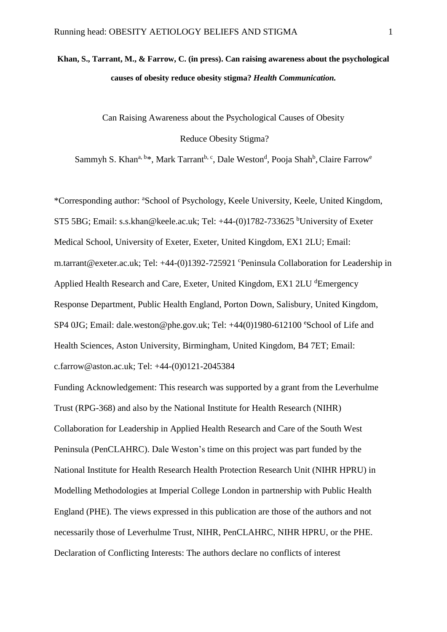# **Khan, S., Tarrant, M., & Farrow, C. (in press). Can raising awareness about the psychological causes of obesity reduce obesity stigma?** *Health Communication.*

Can Raising Awareness about the Psychological Causes of Obesity

Reduce Obesity Stigma?

Sammyh S. Khan<sup>a, b\*</sup>, Mark Tarrant<sup>b, c</sup>, Dale Weston<sup>d</sup>, Pooja Shah<sup>b</sup>, Claire Farrow<sup>e</sup>

\*Corresponding author: <sup>a</sup>School of Psychology, Keele University, Keele, United Kingdom, ST5 5BG; Email: s.s.khan@keele.ac.uk; Tel: +44-(0)1782-733625 <sup>b</sup>University of Exeter Medical School, University of Exeter, Exeter, United Kingdom, EX1 2LU; Email: m.tarrant@exeter.ac.uk; Tel: +44-(0)1392-725921 °Peninsula Collaboration for Leadership in Applied Health Research and Care, Exeter, United Kingdom, EX1 2LU dEmergency Response Department, Public Health England, Porton Down, Salisbury, United Kingdom, SP4 0JG; Email: dale.weston@phe.gov.uk; Tel:  $+44(0)1980-612100$  eSchool of Life and Health Sciences, Aston University, Birmingham, United Kingdom, B4 7ET; Email: c.farrow@aston.ac.uk; Tel: +44-(0)0121-2045384

Funding Acknowledgement: This research was supported by a grant from the Leverhulme Trust (RPG-368) and also by the National Institute for Health Research (NIHR) Collaboration for Leadership in Applied Health Research and Care of the South West Peninsula (PenCLAHRC). Dale Weston's time on this project was part funded by the National Institute for Health Research Health Protection Research Unit (NIHR HPRU) in Modelling Methodologies at Imperial College London in partnership with Public Health England (PHE). The views expressed in this publication are those of the authors and not necessarily those of Leverhulme Trust, NIHR, PenCLAHRC, NIHR HPRU, or the PHE. Declaration of Conflicting Interests: The authors declare no conflicts of interest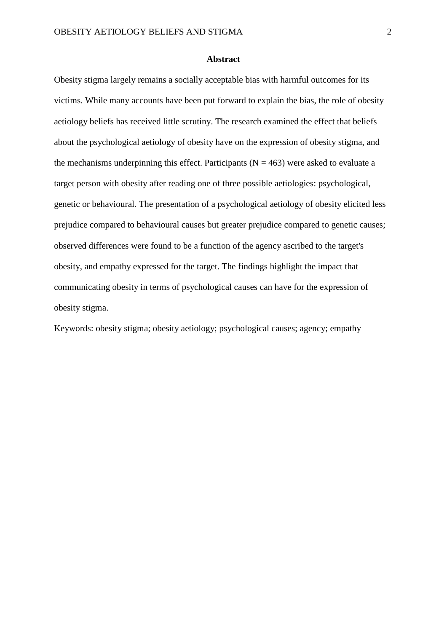#### **Abstract**

Obesity stigma largely remains a socially acceptable bias with harmful outcomes for its victims. While many accounts have been put forward to explain the bias, the role of obesity aetiology beliefs has received little scrutiny. The research examined the effect that beliefs about the psychological aetiology of obesity have on the expression of obesity stigma, and the mechanisms underpinning this effect. Participants ( $N = 463$ ) were asked to evaluate a target person with obesity after reading one of three possible aetiologies: psychological, genetic or behavioural. The presentation of a psychological aetiology of obesity elicited less prejudice compared to behavioural causes but greater prejudice compared to genetic causes; observed differences were found to be a function of the agency ascribed to the target's obesity, and empathy expressed for the target. The findings highlight the impact that communicating obesity in terms of psychological causes can have for the expression of obesity stigma.

Keywords: obesity stigma; obesity aetiology; psychological causes; agency; empathy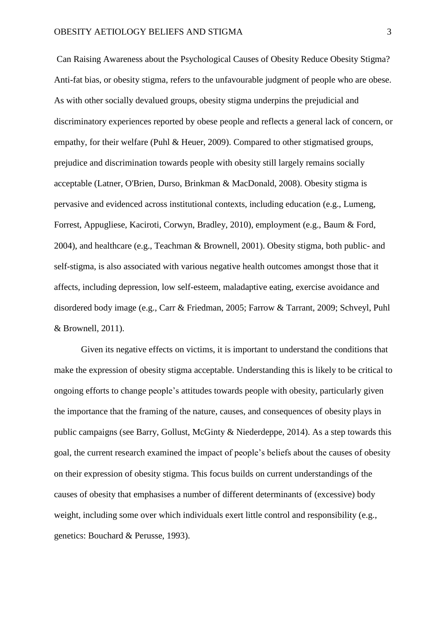Can Raising Awareness about the Psychological Causes of Obesity Reduce Obesity Stigma? Anti-fat bias, or obesity stigma, refers to the unfavourable judgment of people who are obese. As with other socially devalued groups, obesity stigma underpins the prejudicial and discriminatory experiences reported by obese people and reflects a general lack of concern, or empathy, for their welfare (Puhl & Heuer, 2009). Compared to other stigmatised groups, prejudice and discrimination towards people with obesity still largely remains socially acceptable (Latner, O'Brien, Durso, Brinkman & MacDonald, 2008). Obesity stigma is pervasive and evidenced across institutional contexts, including education (e.g., Lumeng, Forrest, Appugliese, Kaciroti, Corwyn, Bradley, 2010), employment (e.g., Baum & Ford, 2004), and healthcare (e.g., Teachman & Brownell, 2001). Obesity stigma, both public- and self-stigma, is also associated with various negative health outcomes amongst those that it affects, including depression, low self-esteem, maladaptive eating, exercise avoidance and disordered body image (e.g., Carr & Friedman, 2005; Farrow & Tarrant, 2009; Schveyl, Puhl & Brownell, 2011).

Given its negative effects on victims, it is important to understand the conditions that make the expression of obesity stigma acceptable. Understanding this is likely to be critical to ongoing efforts to change people's attitudes towards people with obesity, particularly given the importance that the framing of the nature, causes, and consequences of obesity plays in public campaigns (see Barry, Gollust, McGinty & Niederdeppe, 2014). As a step towards this goal, the current research examined the impact of people's beliefs about the causes of obesity on their expression of obesity stigma. This focus builds on current understandings of the causes of obesity that emphasises a number of different determinants of (excessive) body weight, including some over which individuals exert little control and responsibility (e.g., genetics: Bouchard & Perusse, 1993).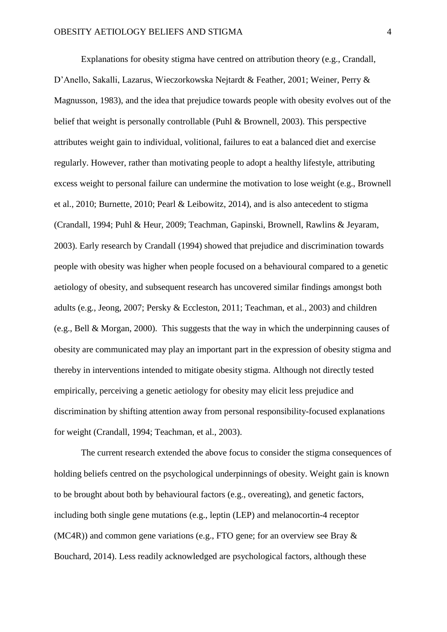Explanations for obesity stigma have centred on attribution theory (e.g., Crandall, D'Anello, Sakalli, Lazarus, Wieczorkowska Nejtardt & Feather, 2001; Weiner, Perry & Magnusson, 1983), and the idea that prejudice towards people with obesity evolves out of the belief that weight is personally controllable (Puhl & Brownell, 2003). This perspective attributes weight gain to individual, volitional, failures to eat a balanced diet and exercise regularly. However, rather than motivating people to adopt a healthy lifestyle, attributing excess weight to personal failure can undermine the motivation to lose weight (e.g., Brownell et al., 2010; Burnette, 2010; Pearl & Leibowitz, 2014), and is also antecedent to stigma (Crandall, 1994; Puhl & Heur, 2009; Teachman, Gapinski, Brownell, Rawlins & Jeyaram, 2003). Early research by Crandall (1994) showed that prejudice and discrimination towards people with obesity was higher when people focused on a behavioural compared to a genetic aetiology of obesity, and subsequent research has uncovered similar findings amongst both adults (e.g., Jeong, 2007; Persky & Eccleston, 2011; Teachman, et al., 2003) and children (e.g., Bell & Morgan, 2000). This suggests that the way in which the underpinning causes of obesity are communicated may play an important part in the expression of obesity stigma and thereby in interventions intended to mitigate obesity stigma. Although not directly tested empirically, perceiving a genetic aetiology for obesity may elicit less prejudice and discrimination by shifting attention away from personal responsibility-focused explanations for weight (Crandall, 1994; Teachman, et al., 2003).

The current research extended the above focus to consider the stigma consequences of holding beliefs centred on the psychological underpinnings of obesity. Weight gain is known to be brought about both by behavioural factors (e.g., overeating), and genetic factors, including both single gene mutations (e.g., leptin (LEP) and melanocortin-4 receptor (MC4R)) and common gene variations (e.g., FTO gene; for an overview see Bray & Bouchard, 2014). Less readily acknowledged are psychological factors, although these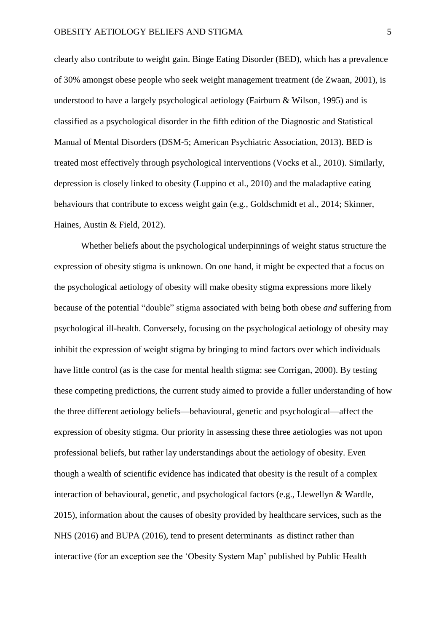clearly also contribute to weight gain. Binge Eating Disorder (BED), which has a prevalence of 30% amongst obese people who seek weight management treatment (de Zwaan, 2001), is understood to have a largely psychological aetiology (Fairburn & Wilson, 1995) and is classified as a psychological disorder in the fifth edition of the Diagnostic and Statistical Manual of Mental Disorders (DSM-5; American Psychiatric Association, 2013). BED is treated most effectively through psychological interventions (Vocks et al., 2010). Similarly, depression is closely linked to obesity (Luppino et al., 2010) and the maladaptive eating behaviours that contribute to excess weight gain (e.g., Goldschmidt et al., 2014; Skinner, Haines, Austin & Field, 2012).

Whether beliefs about the psychological underpinnings of weight status structure the expression of obesity stigma is unknown. On one hand, it might be expected that a focus on the psychological aetiology of obesity will make obesity stigma expressions more likely because of the potential "double" stigma associated with being both obese *and* suffering from psychological ill-health. Conversely, focusing on the psychological aetiology of obesity may inhibit the expression of weight stigma by bringing to mind factors over which individuals have little control (as is the case for mental health stigma: see Corrigan, 2000). By testing these competing predictions, the current study aimed to provide a fuller understanding of how the three different aetiology beliefs—behavioural, genetic and psychological—affect the expression of obesity stigma. Our priority in assessing these three aetiologies was not upon professional beliefs, but rather lay understandings about the aetiology of obesity. Even though a wealth of scientific evidence has indicated that obesity is the result of a complex interaction of behavioural, genetic, and psychological factors (e.g., Llewellyn & Wardle, 2015), information about the causes of obesity provided by healthcare services, such as the NHS (2016) and BUPA (2016), tend to present determinants as distinct rather than interactive (for an exception see the 'Obesity System Map' published by Public Health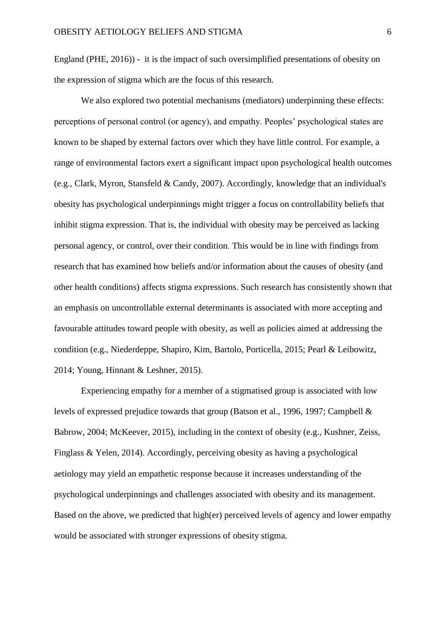England (PHE, 2016)) - it is the impact of such oversimplified presentations of obesity on the expression of stigma which are the focus of this research.

We also explored two potential mechanisms (mediators) underpinning these effects: perceptions of personal control (or agency), and empathy. Peoples' psychological states are known to be shaped by external factors over which they have little control. For example, a range of environmental factors exert a significant impact upon psychological health outcomes (e.g., Clark, Myron, Stansfeld & Candy, 2007). Accordingly, knowledge that an individual's obesity has psychological underpinnings might trigger a focus on controllability beliefs that inhibit stigma expression. That is, the individual with obesity may be perceived as lacking personal agency, or control, over their condition. This would be in line with findings from research that has examined how beliefs and/or information about the causes of obesity (and other health conditions) affects stigma expressions. Such research has consistently shown that an emphasis on uncontrollable external determinants is associated with more accepting and favourable attitudes toward people with obesity, as well as policies aimed at addressing the condition (e.g., Niederdeppe, Shapiro, Kim, Bartolo, Porticella, 2015; Pearl & Leibowitz, 2014; Young, Hinnant & Leshner, 2015).

Experiencing empathy for a member of a stigmatised group is associated with low levels of expressed prejudice towards that group (Batson et al., 1996, 1997; Campbell & Babrow, 2004; McKeever, 2015), including in the context of obesity (e.g., Kushner, Zeiss, Finglass & Yelen, 2014). Accordingly, perceiving obesity as having a psychological aetiology may yield an empathetic response because it increases understanding of the psychological underpinnings and challenges associated with obesity and its management. Based on the above, we predicted that high(er) perceived levels of agency and lower empathy would be associated with stronger expressions of obesity stigma.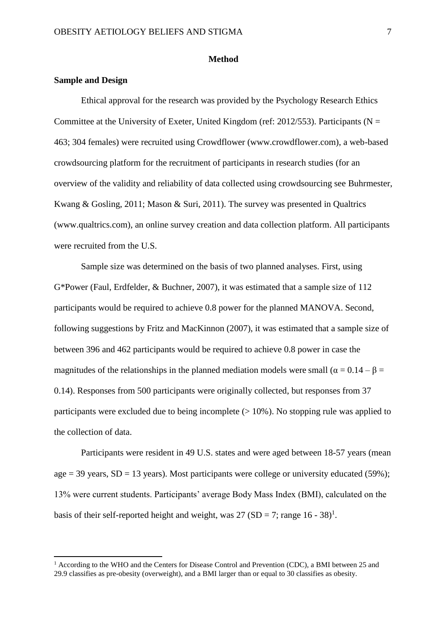#### **Method**

#### **Sample and Design**

**.** 

Ethical approval for the research was provided by the Psychology Research Ethics Committee at the University of Exeter, United Kingdom (ref: 2012/553). Participants ( $N =$ 463; 304 females) were recruited using Crowdflower (www.crowdflower.com), a web-based crowdsourcing platform for the recruitment of participants in research studies (for an overview of the validity and reliability of data collected using crowdsourcing see Buhrmester, Kwang & Gosling, 2011; Mason & Suri, 2011). The survey was presented in Qualtrics (www.qualtrics.com), an online survey creation and data collection platform. All participants were recruited from the U.S.

Sample size was determined on the basis of two planned analyses. First, using G\*Power (Faul, Erdfelder, & Buchner, 2007), it was estimated that a sample size of 112 participants would be required to achieve 0.8 power for the planned MANOVA. Second, following suggestions by Fritz and MacKinnon (2007), it was estimated that a sample size of between 396 and 462 participants would be required to achieve 0.8 power in case the magnitudes of the relationships in the planned mediation models were small ( $\alpha = 0.14 - \beta =$ 0.14). Responses from 500 participants were originally collected, but responses from 37 participants were excluded due to being incomplete  $(>10\%)$ . No stopping rule was applied to the collection of data.

Participants were resident in 49 U.S. states and were aged between 18-57 years (mean age  $=$  39 years, SD  $=$  13 years). Most participants were college or university educated (59%); 13% were current students. Participants' average Body Mass Index (BMI), calculated on the basis of their self-reported height and weight, was  $27 (SD = 7$ ; range  $16 - 38)^1$ .

 $<sup>1</sup>$  According to the WHO and the Centers for Disease Control and Prevention (CDC), a BMI between 25 and</sup> 29.9 classifies as pre-obesity (overweight), and a BMI larger than or equal to 30 classifies as obesity.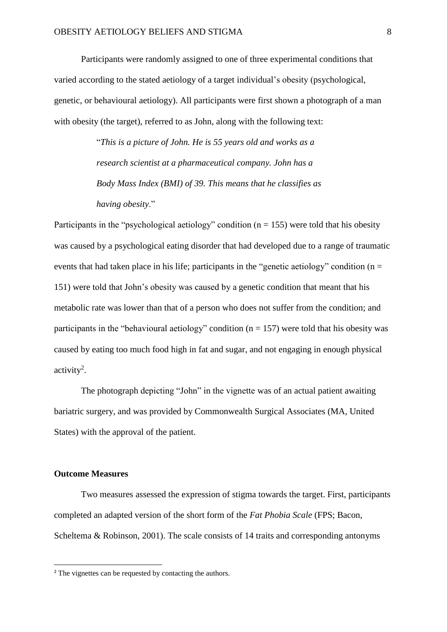Participants were randomly assigned to one of three experimental conditions that varied according to the stated aetiology of a target individual's obesity (psychological, genetic, or behavioural aetiology). All participants were first shown a photograph of a man with obesity (the target), referred to as John, along with the following text:

> "*This is a picture of John. He is 55 years old and works as a research scientist at a pharmaceutical company. John has a Body Mass Index (BMI) of 39. This means that he classifies as having obesity*."

Participants in the "psychological aetiology" condition ( $n = 155$ ) were told that his obesity was caused by a psychological eating disorder that had developed due to a range of traumatic events that had taken place in his life; participants in the "genetic aetiology" condition ( $n =$ 151) were told that John's obesity was caused by a genetic condition that meant that his metabolic rate was lower than that of a person who does not suffer from the condition; and participants in the "behavioural aetiology" condition ( $n = 157$ ) were told that his obesity was caused by eating too much food high in fat and sugar, and not engaging in enough physical  $\arctivity^2$ .

The photograph depicting "John" in the vignette was of an actual patient awaiting bariatric surgery, and was provided by Commonwealth Surgical Associates (MA, United States) with the approval of the patient.

# **Outcome Measures**

**.** 

Two measures assessed the expression of stigma towards the target. First, participants completed an adapted version of the short form of the *Fat Phobia Scale* (FPS; Bacon, Scheltema & Robinson, 2001). The scale consists of 14 traits and corresponding antonyms

<sup>&</sup>lt;sup>2</sup> The vignettes can be requested by contacting the authors.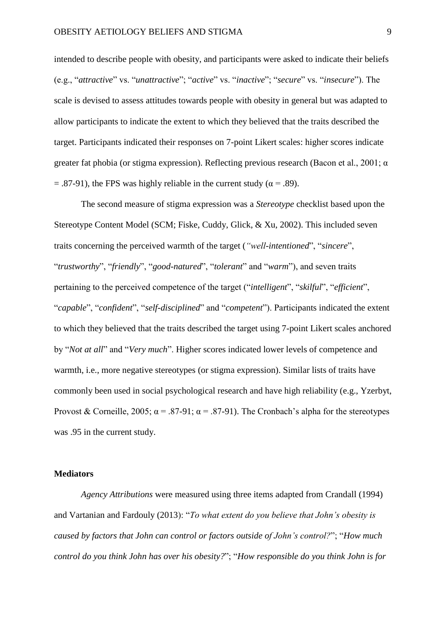intended to describe people with obesity, and participants were asked to indicate their beliefs (e.g., "*attractive*" vs. "*unattractive*"; "*active*" vs. "*inactive*"; "*secure*" vs. "*insecure*"). The scale is devised to assess attitudes towards people with obesity in general but was adapted to allow participants to indicate the extent to which they believed that the traits described the target. Participants indicated their responses on 7-point Likert scales: higher scores indicate greater fat phobia (or stigma expression). Reflecting previous research (Bacon et al., 2001; α  $=$  .87-91), the FPS was highly reliable in the current study ( $\alpha$  = .89).

The second measure of stigma expression was a *Stereotype* checklist based upon the Stereotype Content Model (SCM; Fiske, Cuddy, Glick, & Xu, 2002). This included seven traits concerning the perceived warmth of the target (*"well-intentioned*", "*sincere*", "*trustworthy*", "*friendly*", "*good-natured*", "*tolerant*" and "*warm*"), and seven traits pertaining to the perceived competence of the target ("*intelligent*", "*skilful*", "*efficient*", "*capable*", "*confident*", "*self-disciplined*" and "*competent*"). Participants indicated the extent to which they believed that the traits described the target using 7-point Likert scales anchored by "*Not at all*" and "*Very much*". Higher scores indicated lower levels of competence and warmth, i.e., more negative stereotypes (or stigma expression). Similar lists of traits have commonly been used in social psychological research and have high reliability (e.g., Yzerbyt, Provost & Corneille, 2005;  $\alpha = .87-91$ ;  $\alpha = .87-91$ ). The Cronbach's alpha for the stereotypes was .95 in the current study.

# **Mediators**

*Agency Attributions* were measured using three items adapted from Crandall (1994) and Vartanian and Fardouly (2013): "*To what extent do you believe that John's obesity is caused by factors that John can control or factors outside of John's control?*"; "*How much control do you think John has over his obesity?*"; "*How responsible do you think John is for*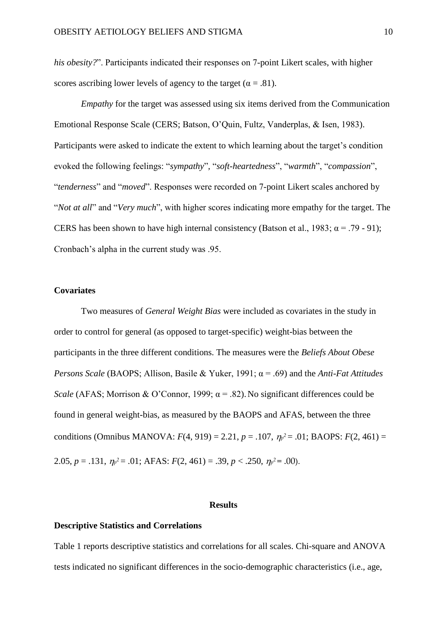*his obesity?*". Participants indicated their responses on 7-point Likert scales, with higher scores ascribing lower levels of agency to the target ( $\alpha = .81$ ).

*Empathy* for the target was assessed using six items derived from the Communication Emotional Response Scale (CERS; Batson, O'Quin, Fultz, Vanderplas, & Isen, 1983). Participants were asked to indicate the extent to which learning about the target's condition evoked the following feelings: "*sympathy*"*,* "*soft-heartedness*", "*warmth*", "*compassion*", "*tenderness*" and "*moved*". Responses were recorded on 7-point Likert scales anchored by "*Not at all*" and "*Very much*", with higher scores indicating more empathy for the target. The CERS has been shown to have high internal consistency (Batson et al., 1983;  $\alpha = .79 - .91$ ); Cronbach's alpha in the current study was .95.

# **Covariates**

Two measures of *General Weight Bias* were included as covariates in the study in order to control for general (as opposed to target-specific) weight-bias between the participants in the three different conditions. The measures were the *Beliefs About Obese Persons Scale* (BAOPS; Allison, Basile & Yuker, 1991; α = .69) and the *Anti-Fat Attitudes Scale* (AFAS; Morrison & O'Connor, 1999;  $\alpha$  = .82). No significant differences could be found in general weight-bias, as measured by the BAOPS and AFAS, between the three conditions (Omnibus MANOVA:  $F(4, 919) = 2.21$ ,  $p = .107$ ,  $\eta p^2 = .01$ ; BAOPS:  $F(2, 461) =$ 2.05,  $p = .131$ ,  $\eta_p^2 = .01$ ; AFAS:  $F(2, 461) = .39$ ,  $p < .250$ ,  $\eta_p^2 = .00$ ).

#### **Results**

# **Descriptive Statistics and Correlations**

Table 1 reports descriptive statistics and correlations for all scales. Chi-square and ANOVA tests indicated no significant differences in the socio-demographic characteristics (i.e., age,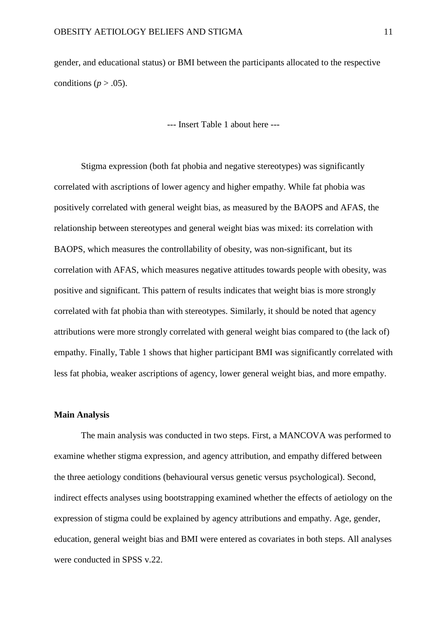gender, and educational status) or BMI between the participants allocated to the respective conditions ( $p > .05$ ).

--- Insert Table 1 about here ---

Stigma expression (both fat phobia and negative stereotypes) was significantly correlated with ascriptions of lower agency and higher empathy. While fat phobia was positively correlated with general weight bias, as measured by the BAOPS and AFAS, the relationship between stereotypes and general weight bias was mixed: its correlation with BAOPS, which measures the controllability of obesity, was non-significant, but its correlation with AFAS, which measures negative attitudes towards people with obesity, was positive and significant. This pattern of results indicates that weight bias is more strongly correlated with fat phobia than with stereotypes. Similarly, it should be noted that agency attributions were more strongly correlated with general weight bias compared to (the lack of) empathy. Finally, Table 1 shows that higher participant BMI was significantly correlated with less fat phobia, weaker ascriptions of agency, lower general weight bias, and more empathy.

#### **Main Analysis**

The main analysis was conducted in two steps. First, a MANCOVA was performed to examine whether stigma expression, and agency attribution, and empathy differed between the three aetiology conditions (behavioural versus genetic versus psychological). Second, indirect effects analyses using bootstrapping examined whether the effects of aetiology on the expression of stigma could be explained by agency attributions and empathy. Age, gender, education, general weight bias and BMI were entered as covariates in both steps. All analyses were conducted in SPSS v.22.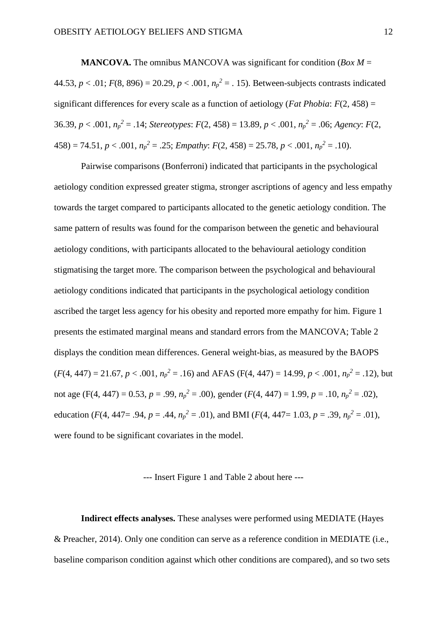**MANCOVA.** The omnibus MANCOVA was significant for condition (*Box M* = 44.53,  $p < .01$ ;  $F(8, 896) = 20.29$ ,  $p < .001$ ,  $n_p^2 = .15$ ). Between-subjects contrasts indicated significant differences for every scale as a function of aetiology (*Fat Phobia*: *F*(2, 458) = 36.39,  $p < .001$ ,  $n_p^2 = .14$ ; *Stereotypes*:  $F(2, 458) = 13.89$ ,  $p < .001$ ,  $n_p^2 = .06$ ; *Agency*:  $F(2, 458) = 13.89$  $458$ ) = 74.51,  $p < .001$ ,  $n_p^2 = .25$ ; *Empathy*:  $F(2, 458) = 25.78$ ,  $p < .001$ ,  $n_p^2 = .10$ ).

Pairwise comparisons (Bonferroni) indicated that participants in the psychological aetiology condition expressed greater stigma, stronger ascriptions of agency and less empathy towards the target compared to participants allocated to the genetic aetiology condition. The same pattern of results was found for the comparison between the genetic and behavioural aetiology conditions, with participants allocated to the behavioural aetiology condition stigmatising the target more. The comparison between the psychological and behavioural aetiology conditions indicated that participants in the psychological aetiology condition ascribed the target less agency for his obesity and reported more empathy for him. Figure 1 presents the estimated marginal means and standard errors from the MANCOVA; Table 2 displays the condition mean differences. General weight-bias, as measured by the BAOPS  $(F(4, 447) = 21.67, p < .001, n_p^2 = .16)$  and AFAS  $(F(4, 447) = 14.99, p < .001, n_p^2 = .12)$ , but not age (F(4, 447) = 0.53,  $p = .99$ ,  $n_p^2 = .00$ ), gender ( $F(4, 447) = 1.99$ ,  $p = .10$ ,  $n_p^2 = .02$ ), education (*F*(4, 447= .94, *p* = .44,  $n_p^2$  = .01), and BMI (*F*(4, 447= 1.03, *p* = .39,  $n_p^2$  = .01), were found to be significant covariates in the model.

#### --- Insert Figure 1 and Table 2 about here ---

**Indirect effects analyses.** These analyses were performed using MEDIATE (Hayes & Preacher, 2014). Only one condition can serve as a reference condition in MEDIATE (i.e., baseline comparison condition against which other conditions are compared), and so two sets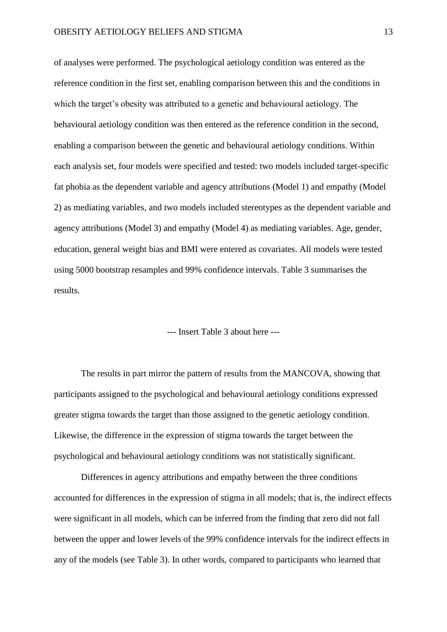of analyses were performed. The psychological aetiology condition was entered as the reference condition in the first set, enabling comparison between this and the conditions in which the target's obesity was attributed to a genetic and behavioural aetiology. The behavioural aetiology condition was then entered as the reference condition in the second, enabling a comparison between the genetic and behavioural aetiology conditions. Within each analysis set, four models were specified and tested: two models included target-specific fat phobia as the dependent variable and agency attributions (Model 1) and empathy (Model 2) as mediating variables, and two models included stereotypes as the dependent variable and agency attributions (Model 3) and empathy (Model 4) as mediating variables. Age, gender, education, general weight bias and BMI were entered as covariates. All models were tested using 5000 bootstrap resamples and 99% confidence intervals. Table 3 summarises the results.

# --- Insert Table 3 about here ---

The results in part mirror the pattern of results from the MANCOVA, showing that participants assigned to the psychological and behavioural aetiology conditions expressed greater stigma towards the target than those assigned to the genetic aetiology condition. Likewise, the difference in the expression of stigma towards the target between the psychological and behavioural aetiology conditions was not statistically significant.

Differences in agency attributions and empathy between the three conditions accounted for differences in the expression of stigma in all models; that is, the indirect effects were significant in all models, which can be inferred from the finding that zero did not fall between the upper and lower levels of the 99% confidence intervals for the indirect effects in any of the models (see Table 3). In other words, compared to participants who learned that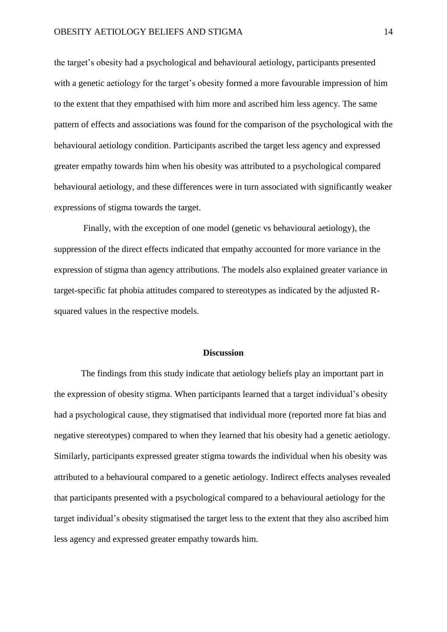the target's obesity had a psychological and behavioural aetiology, participants presented with a genetic aetiology for the target's obesity formed a more favourable impression of him to the extent that they empathised with him more and ascribed him less agency. The same pattern of effects and associations was found for the comparison of the psychological with the behavioural aetiology condition. Participants ascribed the target less agency and expressed greater empathy towards him when his obesity was attributed to a psychological compared behavioural aetiology, and these differences were in turn associated with significantly weaker expressions of stigma towards the target.

Finally, with the exception of one model (genetic vs behavioural aetiology), the suppression of the direct effects indicated that empathy accounted for more variance in the expression of stigma than agency attributions. The models also explained greater variance in target-specific fat phobia attitudes compared to stereotypes as indicated by the adjusted Rsquared values in the respective models.

#### **Discussion**

The findings from this study indicate that aetiology beliefs play an important part in the expression of obesity stigma. When participants learned that a target individual's obesity had a psychological cause, they stigmatised that individual more (reported more fat bias and negative stereotypes) compared to when they learned that his obesity had a genetic aetiology. Similarly, participants expressed greater stigma towards the individual when his obesity was attributed to a behavioural compared to a genetic aetiology. Indirect effects analyses revealed that participants presented with a psychological compared to a behavioural aetiology for the target individual's obesity stigmatised the target less to the extent that they also ascribed him less agency and expressed greater empathy towards him.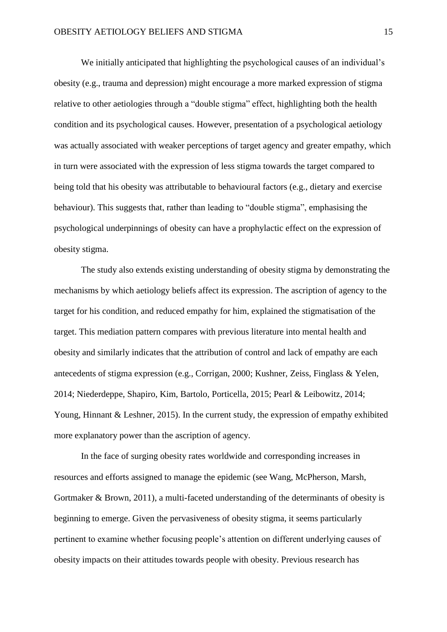We initially anticipated that highlighting the psychological causes of an individual's obesity (e.g., trauma and depression) might encourage a more marked expression of stigma relative to other aetiologies through a "double stigma" effect, highlighting both the health condition and its psychological causes. However, presentation of a psychological aetiology was actually associated with weaker perceptions of target agency and greater empathy, which in turn were associated with the expression of less stigma towards the target compared to being told that his obesity was attributable to behavioural factors (e.g., dietary and exercise behaviour). This suggests that, rather than leading to "double stigma", emphasising the psychological underpinnings of obesity can have a prophylactic effect on the expression of obesity stigma.

The study also extends existing understanding of obesity stigma by demonstrating the mechanisms by which aetiology beliefs affect its expression. The ascription of agency to the target for his condition, and reduced empathy for him, explained the stigmatisation of the target. This mediation pattern compares with previous literature into mental health and obesity and similarly indicates that the attribution of control and lack of empathy are each antecedents of stigma expression (e.g., Corrigan, 2000; Kushner, Zeiss, Finglass & Yelen, 2014; Niederdeppe, Shapiro, Kim, Bartolo, Porticella, 2015; Pearl & Leibowitz, 2014; Young, Hinnant & Leshner, 2015). In the current study, the expression of empathy exhibited more explanatory power than the ascription of agency.

In the face of surging obesity rates worldwide and corresponding increases in resources and efforts assigned to manage the epidemic (see Wang, McPherson, Marsh, Gortmaker & Brown, 2011), a multi-faceted understanding of the determinants of obesity is beginning to emerge. Given the pervasiveness of obesity stigma, it seems particularly pertinent to examine whether focusing people's attention on different underlying causes of obesity impacts on their attitudes towards people with obesity. Previous research has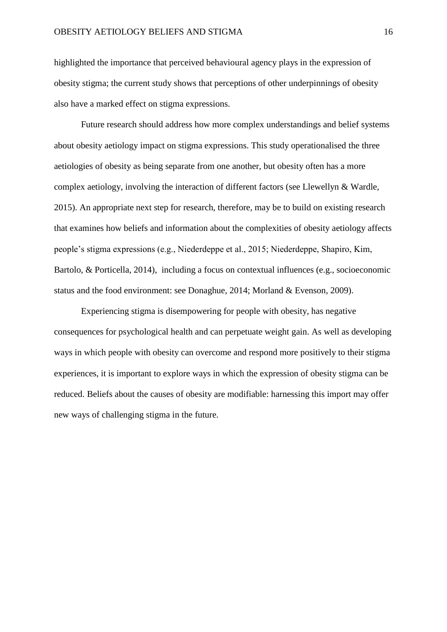highlighted the importance that perceived behavioural agency plays in the expression of obesity stigma; the current study shows that perceptions of other underpinnings of obesity also have a marked effect on stigma expressions.

Future research should address how more complex understandings and belief systems about obesity aetiology impact on stigma expressions. This study operationalised the three aetiologies of obesity as being separate from one another, but obesity often has a more complex aetiology, involving the interaction of different factors (see Llewellyn & Wardle, 2015). An appropriate next step for research, therefore, may be to build on existing research that examines how beliefs and information about the complexities of obesity aetiology affects people's stigma expressions (e.g., Niederdeppe et al., 2015; Niederdeppe, Shapiro, Kim, Bartolo, & Porticella, 2014), including a focus on contextual influences (e.g., socioeconomic status and the food environment: see Donaghue, 2014; Morland & Evenson, 2009).

Experiencing stigma is disempowering for people with obesity, has negative consequences for psychological health and can perpetuate weight gain. As well as developing ways in which people with obesity can overcome and respond more positively to their stigma experiences, it is important to explore ways in which the expression of obesity stigma can be reduced. Beliefs about the causes of obesity are modifiable: harnessing this import may offer new ways of challenging stigma in the future.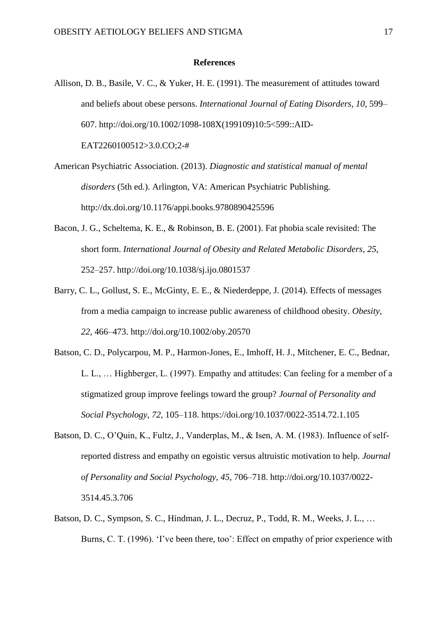# **References**

- Allison, D. B., Basile, V. C., & Yuker, H. E. (1991). The measurement of attitudes toward and beliefs about obese persons. *International Journal of Eating Disorders*, *10*, 599– 607. http://doi.org/10.1002/1098-108X(199109)10:5<599::AID-EAT2260100512>3.0.CO;2-#
- American Psychiatric Association. (2013). *Diagnostic and statistical manual of mental disorders* (5th ed.). Arlington, VA: American Psychiatric Publishing. http://dx.doi.org/10.1176/appi.books.9780890425596
- Bacon, J. G., Scheltema, K. E., & Robinson, B. E. (2001). Fat phobia scale revisited: The short form. *International Journal of Obesity and Related Metabolic Disorders*, *25*, 252–257. http://doi.org/10.1038/sj.ijo.0801537
- Barry, C. L., Gollust, S. E., McGinty, E. E., & Niederdeppe, J. (2014). Effects of messages from a media campaign to increase public awareness of childhood obesity. *Obesity*, *22*, 466–473. http://doi.org/10.1002/oby.20570
- Batson, C. D., Polycarpou, M. P., Harmon-Jones, E., Imhoff, H. J., Mitchener, E. C., Bednar, L. L., … Highberger, L. (1997). Empathy and attitudes: Can feeling for a member of a stigmatized group improve feelings toward the group? *Journal of Personality and Social Psychology*, *72*, 105–118. https://doi.org/10.1037/0022-3514.72.1.105
- Batson, D. C., O'Quin, K., Fultz, J., Vanderplas, M., & Isen, A. M. (1983). Influence of selfreported distress and empathy on egoistic versus altruistic motivation to help. *Journal of Personality and Social Psychology*, *45*, 706–718. http://doi.org/10.1037/0022- 3514.45.3.706
- Batson, D. C., Sympson, S. C., Hindman, J. L., Decruz, P., Todd, R. M., Weeks, J. L., … Burns, C. T. (1996). 'I've been there, too': Effect on empathy of prior experience with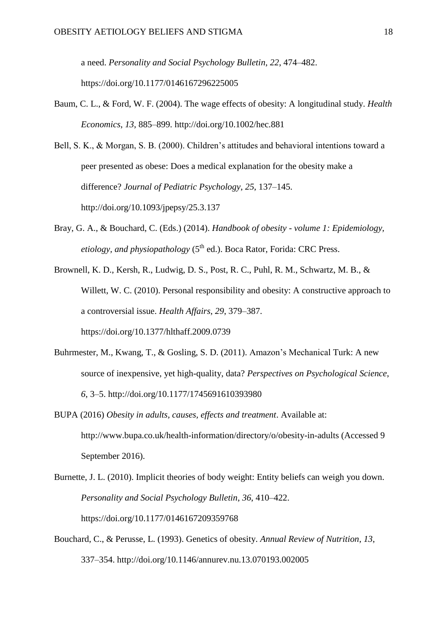a need. *Personality and Social Psychology Bulletin*, *22*, 474–482. https://doi.org/10.1177/0146167296225005

Baum, C. L., & Ford, W. F. (2004). The wage effects of obesity: A longitudinal study. *Health Economics*, *13*, 885–899. http://doi.org/10.1002/hec.881

Bell, S. K., & Morgan, S. B. (2000). Children's attitudes and behavioral intentions toward a peer presented as obese: Does a medical explanation for the obesity make a difference? *Journal of Pediatric Psychology*, *25*, 137–145. http://doi.org/10.1093/jpepsy/25.3.137

- Bray, G. A., & Bouchard, C. (Eds.) (2014). *Handbook of obesity - volume 1: Epidemiology, etiology, and physiopathology* (5<sup>th</sup> ed.). Boca Rator, Forida: CRC Press.
- Brownell, K. D., Kersh, R., Ludwig, D. S., Post, R. C., Puhl, R. M., Schwartz, M. B., & Willett, W. C. (2010). Personal responsibility and obesity: A constructive approach to a controversial issue. *Health Affairs*, *29*, 379–387. https://doi.org/10.1377/hlthaff.2009.0739
- Buhrmester, M., Kwang, T., & Gosling, S. D. (2011). Amazon's Mechanical Turk: A new source of inexpensive, yet high-quality, data? *Perspectives on Psychological Science*, *6*, 3–5. http://doi.org/10.1177/1745691610393980
- BUPA (2016) *Obesity in adults, causes, effects and treatment*. Available at: http://www.bupa.co.uk/health-information/directory/o/obesity-in-adults (Accessed 9 September 2016).
- Burnette, J. L. (2010). Implicit theories of body weight: Entity beliefs can weigh you down. *Personality and Social Psychology Bulletin*, *36*, 410–422. https://doi.org/10.1177/0146167209359768
- Bouchard, C., & Perusse, L. (1993). Genetics of obesity. *Annual Review of Nutrition*, *13*, 337–354. http://doi.org/10.1146/annurev.nu.13.070193.002005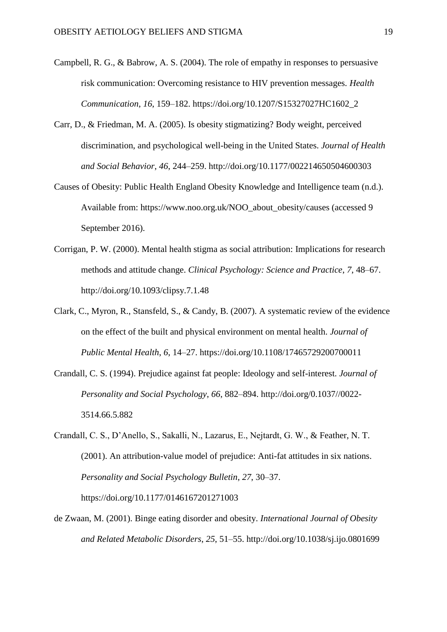- Campbell, R. G., & Babrow, A. S. (2004). The role of empathy in responses to persuasive risk communication: Overcoming resistance to HIV prevention messages. *Health Communication*, *16*, 159–182. https://doi.org/10.1207/S15327027HC1602\_2
- Carr, D., & Friedman, M. A. (2005). Is obesity stigmatizing? Body weight, perceived discrimination, and psychological well-being in the United States. *Journal of Health and Social Behavior*, *46*, 244–259. http://doi.org/10.1177/002214650504600303
- Causes of Obesity: Public Health England Obesity Knowledge and Intelligence team (n.d.). Available from: https://www.noo.org.uk/NOO\_about\_obesity/causes (accessed 9 September 2016).
- Corrigan, P. W. (2000). Mental health stigma as social attribution: Implications for research methods and attitude change. *Clinical Psychology: Science and Practice*, *7*, 48–67. http://doi.org/10.1093/clipsy.7.1.48
- Clark, C., Myron, R., Stansfeld, S., & Candy, B. (2007). A systematic review of the evidence on the effect of the built and physical environment on mental health. *Journal of Public Mental Health*, *6*, 14–27. https://doi.org/10.1108/17465729200700011
- Crandall, C. S. (1994). Prejudice against fat people: Ideology and self-interest. *Journal of Personality and Social Psychology*, *66*, 882–894. http://doi.org/0.1037//0022- 3514.66.5.882
- Crandall, C. S., D'Anello, S., Sakalli, N., Lazarus, E., Nejtardt, G. W., & Feather, N. T. (2001). An attribution-value model of prejudice: Anti-fat attitudes in six nations. *Personality and Social Psychology Bulletin*, *27*, 30–37. https://doi.org/10.1177/0146167201271003
- de Zwaan, M. (2001). Binge eating disorder and obesity. *International Journal of Obesity and Related Metabolic Disorders*, *25*, 51–55. http://doi.org/10.1038/sj.ijo.0801699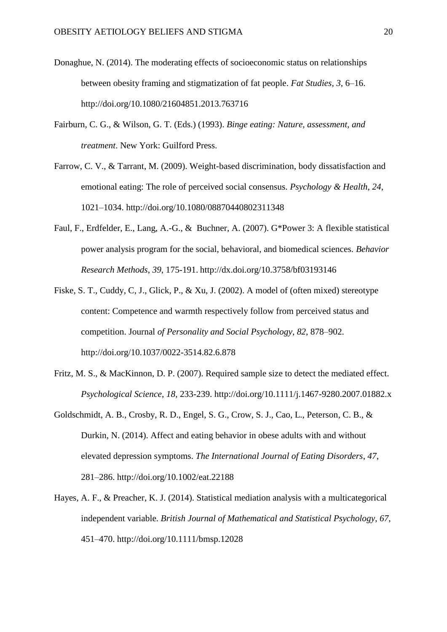- Donaghue, N. (2014). The moderating effects of socioeconomic status on relationships between obesity framing and stigmatization of fat people. *Fat Studies*, *3*, 6–16. http://doi.org/10.1080/21604851.2013.763716
- Fairburn, C. G., & Wilson, G. T. (Eds.) (1993). *Binge eating: Nature, assessment, and treatment*. New York: Guilford Press.
- Farrow, C. V., & Tarrant, M. (2009). Weight-based discrimination, body dissatisfaction and emotional eating: The role of perceived social consensus. *Psychology & Health*, *24*, 1021–1034. http://doi.org/10.1080/08870440802311348
- Faul, F., Erdfelder, E., Lang, A.-G., & Buchner, A. (2007). G\*Power 3: A flexible statistical power analysis program for the social, behavioral, and biomedical sciences. *Behavior Research Methods*, *39*, 175-191. http://dx.doi.org/10.3758/bf03193146
- Fiske, S. T., Cuddy, C, J., Glick, P., & Xu, J. (2002). A model of (often mixed) stereotype content: Competence and warmth respectively follow from perceived status and competition. Journal *of Personality and Social Psychology*, *82*, 878–902. http://doi.org/10.1037/0022-3514.82.6.878
- Fritz, M. S., & MacKinnon, D. P. (2007). Required sample size to detect the mediated effect. *Psychological Science*, *18*, 233-239. http://doi.org/10.1111/j.1467-9280.2007.01882.x
- Goldschmidt, A. B., Crosby, R. D., Engel, S. G., Crow, S. J., Cao, L., Peterson, C. B., & Durkin, N. (2014). Affect and eating behavior in obese adults with and without elevated depression symptoms. *The International Journal of Eating Disorders*, *47*, 281–286. http://doi.org/10.1002/eat.22188
- Hayes, A. F., & Preacher, K. J. (2014). Statistical mediation analysis with a multicategorical independent variable. *British Journal of Mathematical and Statistical Psychology*, *67*, 451–470. http://doi.org/10.1111/bmsp.12028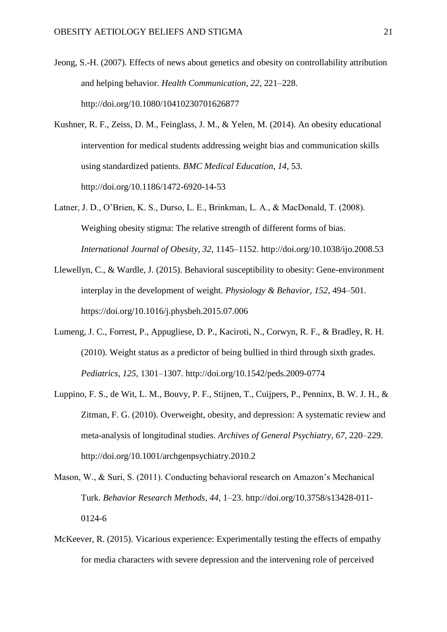- Jeong, S.-H. (2007). Effects of news about genetics and obesity on controllability attribution and helping behavior. *Health Communication*, *22*, 221–228. http://doi.org/10.1080/10410230701626877
- Kushner, R. F., Zeiss, D. M., Feinglass, J. M., & Yelen, M. (2014). An obesity educational intervention for medical students addressing weight bias and communication skills using standardized patients. *BMC Medical Education*, *14*, 53. http://doi.org/10.1186/1472-6920-14-53
- Latner, J. D., O'Brien, K. S., Durso, L. E., Brinkman, L. A., & MacDonald, T. (2008). Weighing obesity stigma: The relative strength of different forms of bias. *International Journal of Obesity*, *32*, 1145–1152. http://doi.org/10.1038/ijo.2008.53
- Llewellyn, C., & Wardle, J. (2015). Behavioral susceptibility to obesity: Gene-environment interplay in the development of weight. *Physiology & Behavior*, *152*, 494–501. https://doi.org/10.1016/j.physbeh.2015.07.006
- Lumeng, J. C., Forrest, P., Appugliese, D. P., Kaciroti, N., Corwyn, R. F., & Bradley, R. H. (2010). Weight status as a predictor of being bullied in third through sixth grades. *Pediatrics*, *125*, 1301–1307. http://doi.org/10.1542/peds.2009-0774
- Luppino, F. S., de Wit, L. M., Bouvy, P. F., Stijnen, T., Cuijpers, P., Penninx, B. W. J. H., & Zitman, F. G. (2010). Overweight, obesity, and depression: A systematic review and meta-analysis of longitudinal studies. *Archives of General Psychiatry*, *67*, 220–229. http://doi.org/10.1001/archgenpsychiatry.2010.2
- Mason, W., & Suri, S. (2011). Conducting behavioral research on Amazon's Mechanical Turk. *Behavior Research Methods*, *44*, 1–23. http://doi.org/10.3758/s13428-011- 0124-6
- McKeever, R. (2015). Vicarious experience: Experimentally testing the effects of empathy for media characters with severe depression and the intervening role of perceived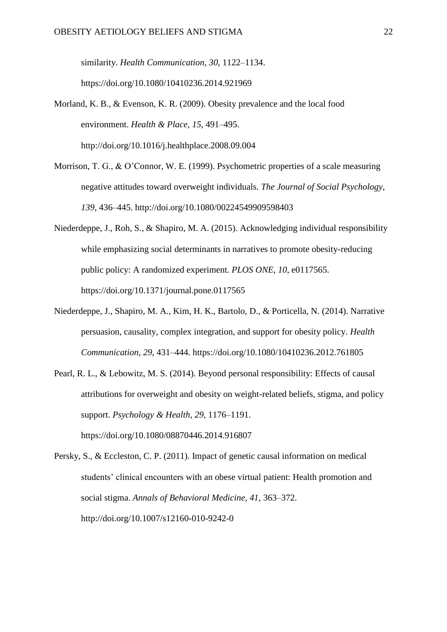similarity. *Health Communication*, *30*, 1122–1134. https://doi.org/10.1080/10410236.2014.921969

- Morland, K. B., & Evenson, K. R. (2009). Obesity prevalence and the local food environment. *Health & Place*, *15*, 491–495. http://doi.org/10.1016/j.healthplace.2008.09.004
- Morrison, T. G., & O'Connor, W. E. (1999). Psychometric properties of a scale measuring negative attitudes toward overweight individuals. *The Journal of Social Psychology*, *139*, 436–445. http://doi.org/10.1080/00224549909598403
- Niederdeppe, J., Roh, S., & Shapiro, M. A. (2015). Acknowledging individual responsibility while emphasizing social determinants in narratives to promote obesity-reducing public policy: A randomized experiment. *PLOS ONE*, *10*, e0117565. https://doi.org/10.1371/journal.pone.0117565
- Niederdeppe, J., Shapiro, M. A., Kim, H. K., Bartolo, D., & Porticella, N. (2014). Narrative persuasion, causality, complex integration, and support for obesity policy. *Health Communication*, *29*, 431–444. https://doi.org/10.1080/10410236.2012.761805
- Pearl, R. L., & Lebowitz, M. S. (2014). Beyond personal responsibility: Effects of causal attributions for overweight and obesity on weight-related beliefs, stigma, and policy support. *Psychology & Health*, *29*, 1176–1191. https://doi.org/10.1080/08870446.2014.916807

Persky, S., & Eccleston, C. P. (2011). Impact of genetic causal information on medical students' clinical encounters with an obese virtual patient: Health promotion and social stigma. *Annals of Behavioral Medicine*, *41*, 363–372. http://doi.org/10.1007/s12160-010-9242-0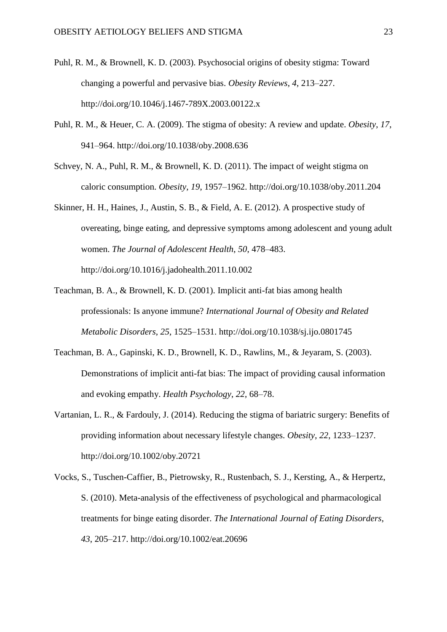- Puhl, R. M., & Brownell, K. D. (2003). Psychosocial origins of obesity stigma: Toward changing a powerful and pervasive bias. *Obesity Reviews*, *4*, 213–227. http://doi.org/10.1046/j.1467-789X.2003.00122.x
- Puhl, R. M., & Heuer, C. A. (2009). The stigma of obesity: A review and update. *Obesity*, *17*, 941–964. http://doi.org/10.1038/oby.2008.636
- Schvey, N. A., Puhl, R. M., & Brownell, K. D. (2011). The impact of weight stigma on caloric consumption. *Obesity, 19*, 1957–1962. http://doi.org/10.1038/oby.2011.204
- Skinner, H. H., Haines, J., Austin, S. B., & Field, A. E. (2012). A prospective study of overeating, binge eating, and depressive symptoms among adolescent and young adult women. *The Journal of Adolescent Health*, *50*, 478–483. http://doi.org/10.1016/j.jadohealth.2011.10.002
- Teachman, B. A., & Brownell, K. D. (2001). Implicit anti-fat bias among health professionals: Is anyone immune? *International Journal of Obesity and Related Metabolic Disorders*, *25*, 1525–1531. http://doi.org/10.1038/sj.ijo.0801745
- Teachman, B. A., Gapinski, K. D., Brownell, K. D., Rawlins, M., & Jeyaram, S. (2003). Demonstrations of implicit anti-fat bias: The impact of providing causal information and evoking empathy. *Health Psychology*, *22*, 68–78.
- Vartanian, L. R., & Fardouly, J. (2014). Reducing the stigma of bariatric surgery: Benefits of providing information about necessary lifestyle changes. *Obesity*, *22*, 1233–1237. http://doi.org/10.1002/oby.20721
- Vocks, S., Tuschen-Caffier, B., Pietrowsky, R., Rustenbach, S. J., Kersting, A., & Herpertz, S. (2010). Meta-analysis of the effectiveness of psychological and pharmacological treatments for binge eating disorder. *The International Journal of Eating Disorders*, *43*, 205–217. http://doi.org/10.1002/eat.20696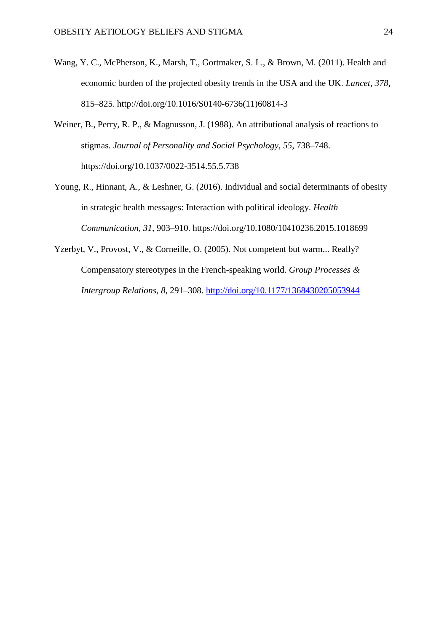- Wang, Y. C., McPherson, K., Marsh, T., Gortmaker, S. L., & Brown, M. (2011). Health and economic burden of the projected obesity trends in the USA and the UK. *Lancet*, *378*, 815–825. http://doi.org/10.1016/S0140-6736(11)60814-3
- Weiner, B., Perry, R. P., & Magnusson, J. (1988). An attributional analysis of reactions to stigmas. *Journal of Personality and Social Psychology*, *55*, 738–748. https://doi.org/10.1037/0022-3514.55.5.738
- Young, R., Hinnant, A., & Leshner, G. (2016). Individual and social determinants of obesity in strategic health messages: Interaction with political ideology. *Health Communication*, *31*, 903–910. https://doi.org/10.1080/10410236.2015.1018699
- Yzerbyt, V., Provost, V., & Corneille, O. (2005). Not competent but warm... Really? Compensatory stereotypes in the French-speaking world. *Group Processes & Intergroup Relations*, *8*, 291–308.<http://doi.org/10.1177/1368430205053944>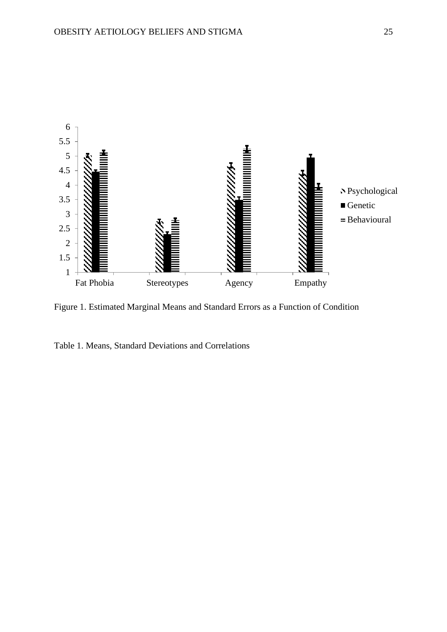

Figure 1. Estimated Marginal Means and Standard Errors as a Function of Condition

Table 1. Means, Standard Deviations and Correlations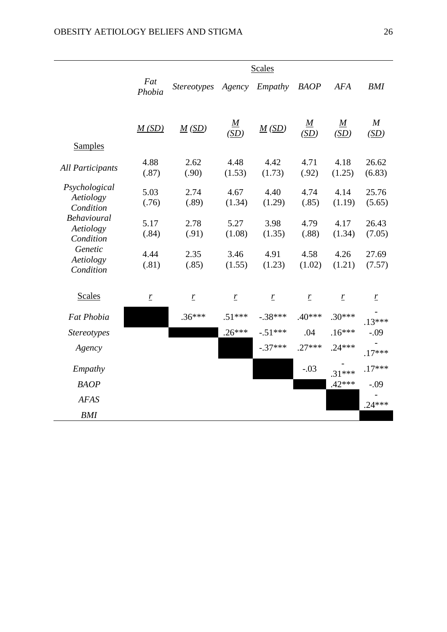|                                                                                                                              | <b>Scales</b>    |                                 |                              |                              |                              |                         |                          |
|------------------------------------------------------------------------------------------------------------------------------|------------------|---------------------------------|------------------------------|------------------------------|------------------------------|-------------------------|--------------------------|
|                                                                                                                              | Fat<br>Phobia    | <b>Stereotypes</b>              | Agency                       | Empathy                      | <b>BAOP</b>                  | <b>AFA</b>              | <b>BMI</b>               |
|                                                                                                                              | M(SD)            | $\underline{M}(\underline{SD})$ | $\underline{M}$<br>(SD)      | M(SD)                        | $\underline{M}$<br>(SD)      | $\underline{M}$<br>(SD) | $\boldsymbol{M}$<br>(SD) |
| <b>Samples</b>                                                                                                               |                  |                                 |                              |                              |                              |                         |                          |
| <b>All Participants</b>                                                                                                      | 4.88<br>(.87)    | 2.62<br>(.90)                   | 4.48<br>(1.53)               | 4.42<br>(1.73)               | 4.71<br>(.92)                | 4.18<br>(1.25)          | 26.62<br>(6.83)          |
| Psychological<br>Aetiology<br>Condition<br><b>Behavioural</b><br>Aetiology<br>Condition<br>Genetic<br>Aetiology<br>Condition | 5.03<br>(.76)    | 2.74<br>(.89)                   | 4.67<br>(1.34)               | 4.40<br>(1.29)               | 4.74<br>(.85)                | 4.14<br>(1.19)          | 25.76<br>(5.65)          |
|                                                                                                                              | 5.17<br>(.84)    | 2.78<br>(.91)                   | 5.27<br>(1.08)               | 3.98<br>(1.35)               | 4.79<br>(.88)                | 4.17<br>(1.34)          | 26.43<br>(7.05)          |
|                                                                                                                              | 4.44<br>(.81)    | 2.35<br>(.85)                   | 3.46<br>(1.55)               | 4.91<br>(1.23)               | 4.58<br>(1.02)               | 4.26<br>(1.21)          | 27.69<br>(7.57)          |
| <b>Scales</b>                                                                                                                | $\ensuremath{r}$ | $\mathbf{r}$                    | $\ensuremath{\underline{r}}$ | $\ensuremath{\underline{r}}$ | $\ensuremath{\underline{r}}$ | $\ensuremath{r}$        | $\ensuremath{r}$         |
| <b>Fat Phobia</b>                                                                                                            |                  | $.36***$                        | $.51***$                     | $-.38***$                    | $.40***$                     | $.30***$                | $.13***$                 |
| <b>Stereotypes</b>                                                                                                           |                  |                                 | $.26***$                     | $-51***$                     | .04                          | $.16***$                | $-.09$                   |
| Agency                                                                                                                       |                  |                                 |                              | $-.37***$                    | $.27***$                     | $.24***$                | $.17***$                 |
| Empathy                                                                                                                      |                  |                                 |                              |                              | $-.03$                       | $.31***$                | $.17***$                 |
| <b>BAOP</b>                                                                                                                  |                  |                                 |                              |                              |                              | $.42***$                | $-.09$                   |
| <b>AFAS</b>                                                                                                                  |                  |                                 |                              |                              |                              |                         | $.24***$                 |
| <b>BMI</b>                                                                                                                   |                  |                                 |                              |                              |                              |                         |                          |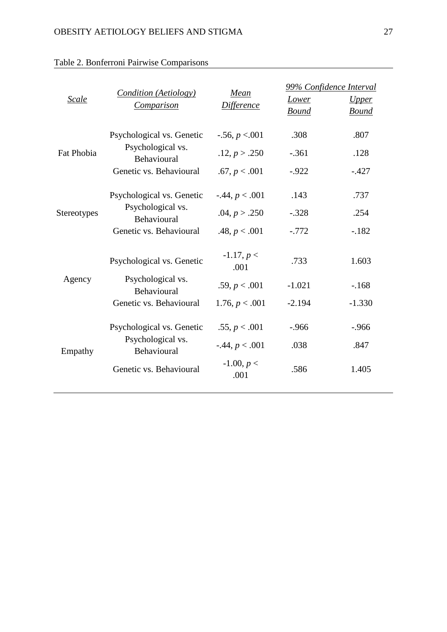| Scale       | <b>Condition (Aetiology)</b><br><b>Comparison</b>                                        | Mean<br><b>Difference</b>                                   | <u>Lower</u><br><b>Bound</b> | 99% Confidence Interval<br><i><u><b>Upper</b></u></i><br><b>Bound</b> |
|-------------|------------------------------------------------------------------------------------------|-------------------------------------------------------------|------------------------------|-----------------------------------------------------------------------|
| Fat Phobia  | Psychological vs. Genetic<br>Psychological vs.<br>Behavioural<br>Genetic vs. Behavioural | $-.56, p < .001$<br>.12, p > .250<br>.67, p < .001          | .308<br>$-.361$<br>$-0.922$  | .807<br>.128<br>$-.427$                                               |
| Stereotypes | Psychological vs. Genetic<br>Psychological vs.<br>Behavioural<br>Genetic vs. Behavioural | $-0.44, p < 0.001$<br>.04, $p > .250$<br>.48, $p < .001$    | .143<br>$-.328$<br>$-.772$   | .737<br>.254<br>$-.182$                                               |
| Agency      | Psychological vs. Genetic<br>Psychological vs.<br>Behavioural<br>Genetic vs. Behavioural | $-1.17, p <$<br>.001<br>.59, $p < .001$<br>1.76, p < .001   | .733<br>$-1.021$<br>$-2.194$ | 1.603<br>$-.168$<br>$-1.330$                                          |
| Empathy     | Psychological vs. Genetic<br>Psychological vs.<br>Behavioural<br>Genetic vs. Behavioural | .55, p < .001<br>$-0.44, p < 0.001$<br>$-1.00, p <$<br>.001 | $-.966$<br>.038<br>.586      | $-.966$<br>.847<br>1.405                                              |

# Table 2. Bonferroni Pairwise Comparisons